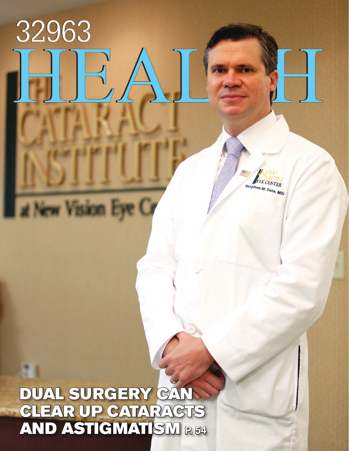## DUAL SURGERY CAN CLEAR UP CATARACTS AND ASTIGMATISM P. 54

32963

t New Vision Eye